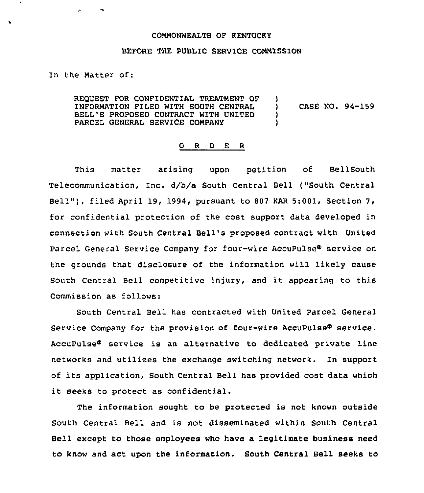### COMMONWEALTH OF KENTUCKY

#### BEFORE THE PUBLIC SERVICE COMMISSION

## In the Matter of:

REQUEST FOR CONFIDENTIAL TREATMENT OF INFORMATION FILED WITH SOUTH CENTRAL BELL'S PROPOSED CONTRACT WITH UNITED PARCEL GENERAL SERVICE COMPANY )<br>) ) CASE NO. 94-159 ) )

#### 0 R <sup>D</sup> E R

This matter arising upon petition of BellSouth Telecommunication, Inc. d/b/a South Central Bell ("South Central Bell" ), filed April 19, 1994, pursuant to <sup>807</sup> KAR 5:001, Section 7, for confidential protection of the cost support data developed in connection with South Central Bell's proposed contract with United Parcel General Service Company for four-wire AccuPulse<sup>®</sup> service on the grounds that disclosure of the information will likely cause South Central Bell competitive injury, and it appearing to this Commission as follows:

South Central Bell has contracted with United Parcel General Service Company for the provision of four-wire AccuPulse® service. AccuPulse<sup>®</sup> service is an alternative to dedicated private line networks and utilizes the exchange switching network. In support of its application, South Central Bell has provided cost data which it seeks to protect as confidential.

The information sought to be protected is not known outside South Central Bell and is not disseminated within South Central Bell except to those employees who have a legitimate business need to know and act upon the information. South Central Bell seeks to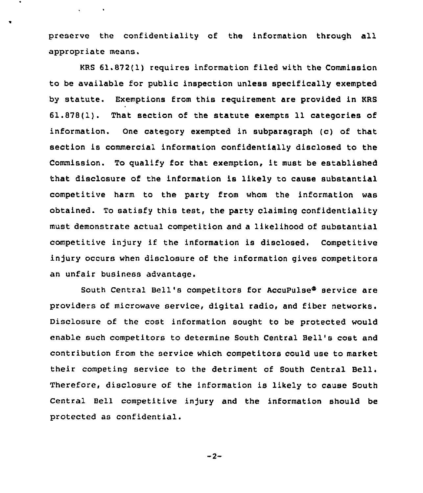preserve the confidentiality of the information through all appropriate means.

 $\mathbf{v} = \mathbf{v} \times \mathbf{v}$  .

KRS 61.872(1) requires information filed with the Commission to be available for public inspection unless specifically exempted by statute. Exemptions from this requirement are provided in KRS 61.878(1). That section of the statute exempts 11 categories of information. One category exempted in subparagraph (c) of that section is commercial information confidentially disclosed to the Commission. To qualify for that exemption, it must be established that disclosure of the information is likely to cause substantial competitive harm to the party from whom the information was obtained. To satisfy this test, the party claiming confidentiality must demonstrate actual competition and a likelihood of substantial competitive injury if the information is disclosed. Competitive injury occurs when disclosure of the information gives competitors an unfair business advantage.

South Central Bell's competitors for AccuPulse<sup>®</sup> service are providers of microwave service, digital radio, and fiber networks. Disclosure of the cost information sought to be protected would enable such competitors to determine South Central Bell's cost and contribution from the service which competitors could use to market their competing service to the detriment of South Central Bell. Therefore, disclosure of the information is likely to cause South Central Bell competitive injury and the information should be protected as confidential.

 $-2-$